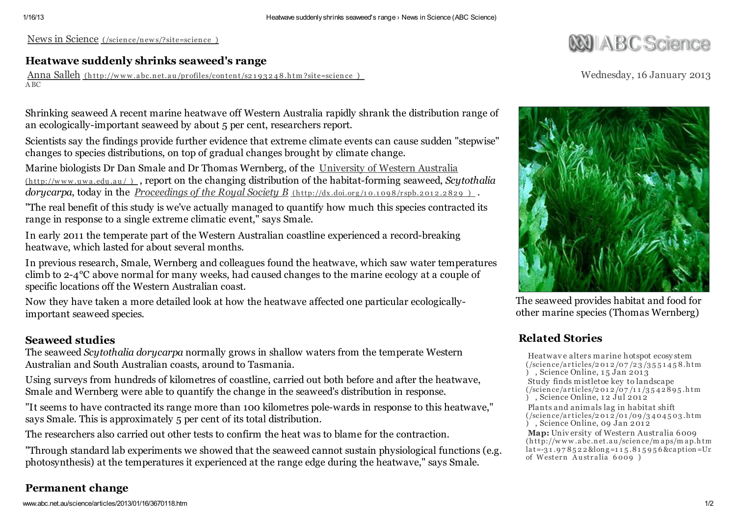News in Science (/science/new [s/?site=science](http://www.abc.net.au/science/news/?site=science) )

## Heatwave suddenly shrinks seaweed's range

Anna Salleh (http://www.abc.net.au/pr[ofiles/content/s2](http://www.abc.net.au/profiles/content/s2193248.htm?site=science)193248.htm?site=science) ABC

**JIA BC Science** 

Wednesday, 16 January 2013

Shrinking seaweed A recent marine heatwave off Western Australia rapidly shrank the distribution range of an ecologically-important seaweed by about 5 per cent, researchers report.

Scientists say the findings provide further evidence that extreme climate events can cause sudden "stepwise" changes to species distributions, on top of gradual changes brought by climate change.

Marine biologists Dr Dan Smale and Dr Thomas Wernberg, of the University of Western Australia (http://w w w .u w a .edu .au / ) , report on the changing distribution of the [habitat-forming](http://www.uwa.edu.au/) seaweed, *Scytothalia dorycarpa*, today in the *[Proceedings](http://dx.doi.org/10.1098/rspb.2012.2829)* of the *Royal Society B* (http://dx.doi.org/10.1098/rspb.2012.2829).

"The real benefit of this study is we've actually managed to quantify how much this species contracted its range in response to a single extreme climatic event," says Smale.

In early 2011 the temperate part of the Western Australian coastline experienced a record-breaking heatwave, which lasted for about several months.

In previous research, Smale, Wernberg and colleagues found the heatwave, which saw water temperatures climb to 2-4°C above normal for many weeks, had caused changes to the marine ecology at a couple of specific locations off the Western Australian coast.

Now they have taken a more detailed look at how the heatwave affected one particular ecologicallyimportant seaweed species.

## Seaweed studies

The seaweed *Scytothalia dorycarpa* normally grows in shallow waters from the temperate Western Australian and South Australian coasts, around to Tasmania.

Using surveys from hundreds of kilometres of coastline, carried out both before and after the heatwave, Smale and Wernberg were able to quantify the change in the seaweed's distribution in response.

"It seems to have contracted its range more than 100 kilometres pole-wards in response to this heatwave," says Smale. This is approximately 5 per cent of its total distribution.

The researchers also carried out other tests to confirm the heat was to blame for the contraction.

"Through standard lab experiments we showed that the seaweed cannot sustain physiological functions (e.g. photosynthesis) at the temperatures it experienced at the range edge during the heatwave," says Smale.

## Permanent change



The seaweed provides habitat and food for other marine species (Thomas Wernberg)

# Related Stories

[Heatwave](http://www.abc.net.au/science/articles/2012/07/23/3551458.htm) alters marine hotspot ecosy stem  $\frac{\frac{1}{3} \left( \frac{1}{2} \right)}{\frac{1}{2} \left( \frac{1}{2} \right)}$  $\widetilde{)}$ , Science Online, 15 Jan 2013 Study finds mistletoe key to [landscape](http://www.abc.net.au/science/articles/2012/07/11/3542895.htm)

 $($ /science/articles/2012/07/11/3542895.htm ) , Science Online,  $12 \text{ Jul } 2012$ 

Plants and animals lag in habitat shift  $\frac{1}{2}$  /01 /09 /34 04 5 03.htm  $\sum_{n=1}^{\infty}$  , Science Online, 09 Jan 2012

Map: University of Western Australia 6009 (http://w w w .abc.net.au /science/m aps/m ap.htm ?  $lat=31.978522$ &long=115.815956&caption=Ur of Western Australia 6009 )